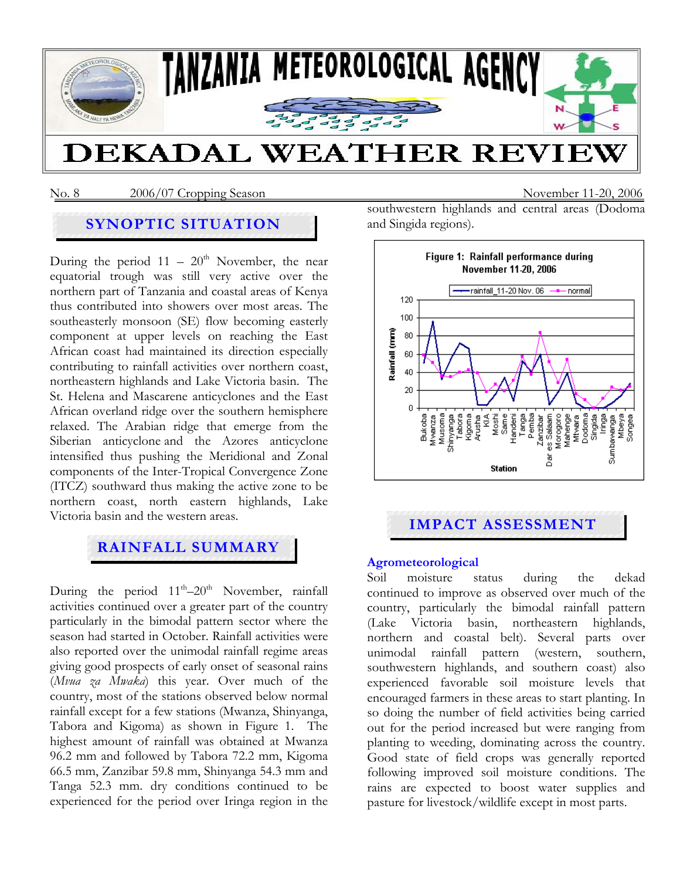

### No. 8 2006/07 Cropping Season November 11-20, 2006

# **SYNOPTIC SITUATION**

During the period  $11 - 20<sup>th</sup>$  November, the near equatorial trough was still very active over the northern part of Tanzania and coastal areas of Kenya thus contributed into showers over most areas. The southeasterly monsoon (SE) flow becoming easterly component at upper levels on reaching the East African coast had maintained its direction especially contributing to rainfall activities over northern coast, northeastern highlands and Lake Victoria basin. The St. Helena and Mascarene anticyclones and the East African overland ridge over the southern hemisphere relaxed. The Arabian ridge that emerge from the Siberian anticyclone and the Azores anticyclone intensified thus pushing the Meridional and Zonal components of the Inter-Tropical Convergence Zone (ITCZ) southward thus making the active zone to be northern coast, north eastern highlands, Lake Victoria basin and the western areas.

# **RAINFALL SUMMARY**

During the period  $11^{th} - 20^{th}$  November, rainfall activities continued over a greater part of the country particularly in the bimodal pattern sector where the season had started in October. Rainfall activities were also reported over the unimodal rainfall regime areas giving good prospects of early onset of seasonal rains (*Mvua za Mwaka*) this year. Over much of the country, most of the stations observed below normal rainfall except for a few stations (Mwanza, Shinyanga, Tabora and Kigoma) as shown in Figure 1. The highest amount of rainfall was obtained at Mwanza 96.2 mm and followed by Tabora 72.2 mm, Kigoma 66.5 mm, Zanzibar 59.8 mm, Shinyanga 54.3 mm and Tanga 52.3 mm. dry conditions continued to be experienced for the period over Iringa region in the southwestern highlands and central areas (Dodoma and Singida regions).



# **IMPACT ASSESSMENT**

#### **Agrometeorological**

Soil moisture status during the dekad continued to improve as observed over much of the country, particularly the bimodal rainfall pattern (Lake Victoria basin, northeastern highlands, northern and coastal belt). Several parts over unimodal rainfall pattern (western, southern, southwestern highlands, and southern coast) also experienced favorable soil moisture levels that encouraged farmers in these areas to start planting. In so doing the number of field activities being carried out for the period increased but were ranging from planting to weeding, dominating across the country. Good state of field crops was generally reported following improved soil moisture conditions. The rains are expected to boost water supplies and pasture for livestock/wildlife except in most parts.